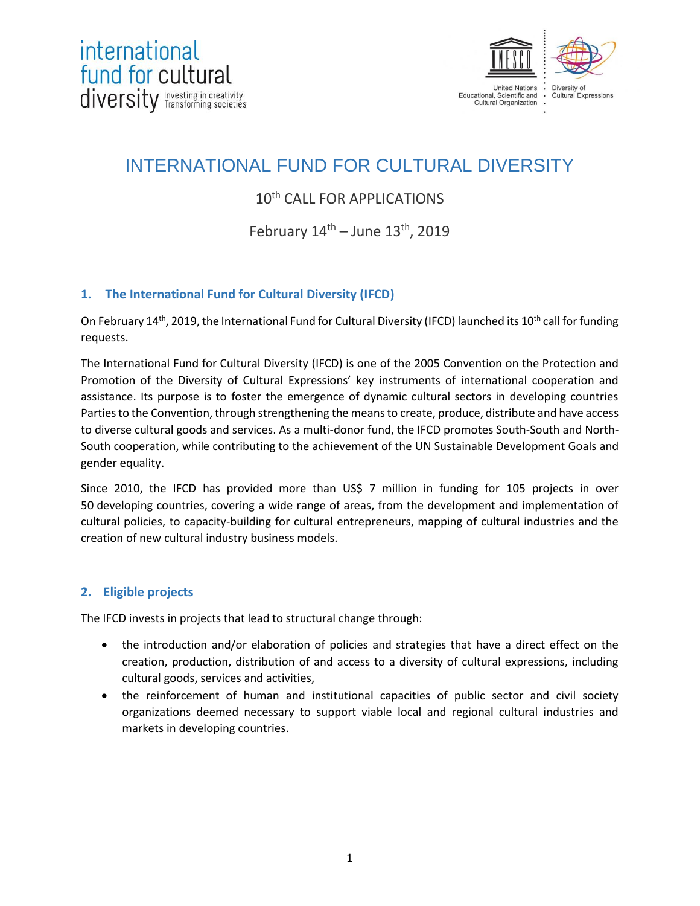

# INTERNATIONAL FUND FOR CULTURAL DIVERSITY

# 10<sup>th</sup> CALL FOR APPLICATIONS

# February  $14^{\text{th}}$  – June  $13^{\text{th}}$ , 2019

# **1. The International Fund for Cultural Diversity (IFCD)**

On February 14<sup>th</sup>, 2019, the International Fund for Cultural Diversity (IFCD) launched its 10<sup>th</sup> call for funding requests.

The International Fund for Cultural Diversity (IFCD) is one of the 2005 Convention on the Protection and Promotion of the Diversity of Cultural Expressions' key instruments of international cooperation and assistance. Its purpose is to foster the emergence of dynamic cultural sectors in developing countries Parties to the Convention, through strengthening the means to create, produce, distribute and have access to diverse cultural goods and services. As a multi-donor fund, the IFCD promotes South-South and North-South cooperation, while contributing to the achievement of the UN Sustainable Development Goals and gender equality.

Since 2010, the IFCD has provided more than US\$ 7 million in funding for 105 projects in over 50 developing countries, covering a wide range of areas, from the development and implementation of cultural policies, to capacity-building for cultural entrepreneurs, mapping of cultural industries and the creation of new cultural industry business models.

# **2. Eligible projects**

The IFCD invests in projects that lead to structural change through:

- the introduction and/or elaboration of policies and strategies that have a direct effect on the creation, production, distribution of and access to a diversity of cultural expressions, including cultural goods, services and activities,
- the reinforcement of human and institutional capacities of public sector and civil society organizations deemed necessary to support viable local and regional cultural industries and markets in developing countries.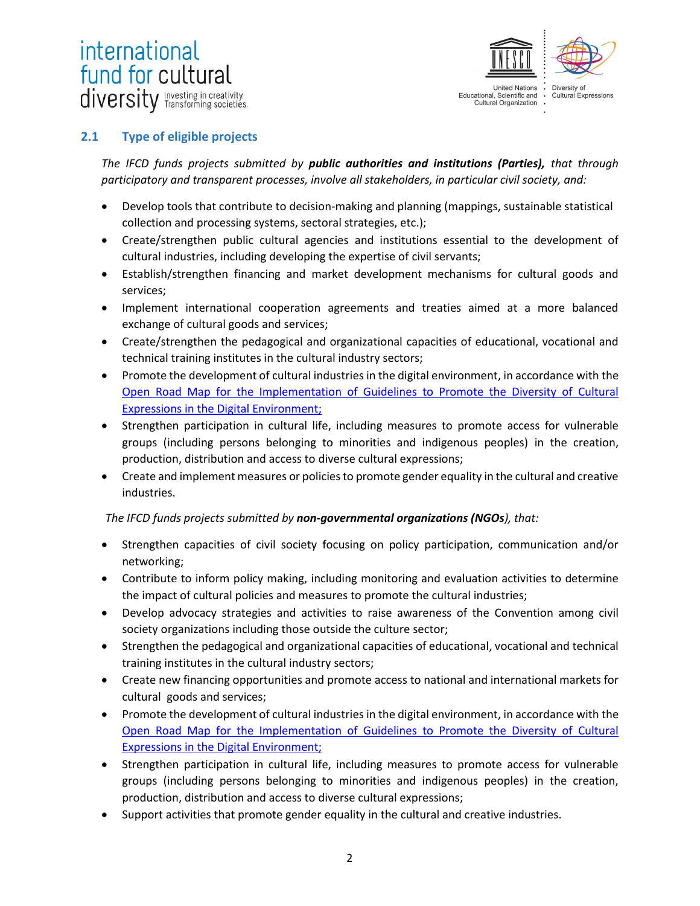# international fund for cultural diversity Investing in creativity.



### **2.1 Type of eligible projects**

*The IFCD funds projects submitted by public authorities and institutions (Parties), that through participatory and transparent processes, involve all stakeholders, in particular civil society, and:*

- Develop tools that contribute to decision-making and planning (mappings, sustainable statistical collection and processing systems, sectoral strategies, etc.);
- Create/strengthen public cultural agencies and institutions essential to the development of cultural industries, including developing the expertise of civil servants;
- Establish/strengthen financing and market development mechanisms for cultural goods and services;
- Implement international cooperation agreements and treaties aimed at a more balanced exchange of cultural goods and services;
- Create/strengthen the pedagogical and organizational capacities of educational, vocational and technical training institutes in the cultural industry sectors;
- Promote the development of cultural industries in the digital environment, in accordance with the [Open Road Map for the Implementation of Guidelines to Promote the Diversity of Cultural](https://en.unesco.org/creativity/sites/creativity/files/road_map.pdf)  [Expressions in the Digital Environment;](https://en.unesco.org/creativity/sites/creativity/files/road_map.pdf)
- Strengthen participation in cultural life, including measures to promote access for vulnerable groups (including persons belonging to minorities and indigenous peoples) in the creation, production, distribution and access to diverse cultural expressions;
- Create and implement measures or policies to promote gender equality in the cultural and creative industries.

#### *The IFCD funds projects submitted by non-governmental organizations (NGOs), that:*

- Strengthen capacities of civil society focusing on policy participation, communication and/or networking;
- Contribute to inform policy making, including monitoring and evaluation activities to determine the impact of cultural policies and measures to promote the cultural industries;
- Develop advocacy strategies and activities to raise awareness of the Convention among civil society organizations including those outside the culture sector;
- Strengthen the pedagogical and organizational capacities of educational, vocational and technical training institutes in the cultural industry sectors;
- Create new financing opportunities and promote access to national and international markets for cultural goods and services;
- Promote the development of cultural industries in the digital environment, in accordance with the [Open Road Map for the Implementation of Guidelines to Promote the Diversity of Cultural](https://en.unesco.org/creativity/sites/creativity/files/road_map.pdf)  [Expressions in the Digital Environment;](https://en.unesco.org/creativity/sites/creativity/files/road_map.pdf)
- Strengthen participation in cultural life, including measures to promote access for vulnerable groups (including persons belonging to minorities and indigenous peoples) in the creation, production, distribution and access to diverse cultural expressions;
- Support activities that promote gender equality in the cultural and creative industries.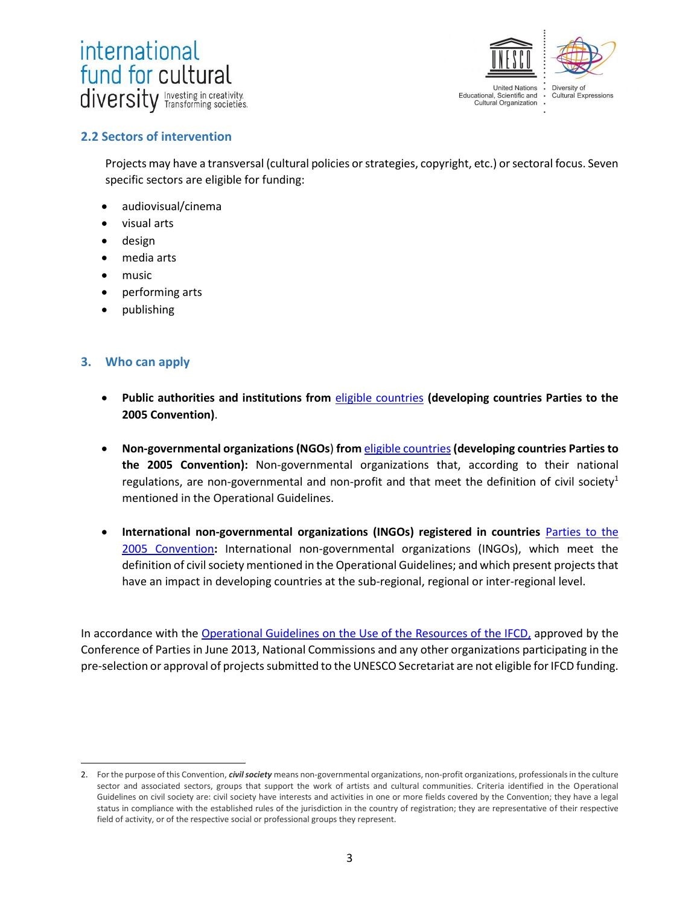



#### **2.2 Sectors of intervention**

Projects may have a transversal (cultural policies or strategies, copyright, etc.) or sectoral focus. Seven specific sectors are eligible for funding:

- audiovisual/cinema
- visual arts
- design
- media arts
- music
- performing arts
- publishing

#### **3. Who can apply**

 $\overline{a}$ 

- **Public authorities and institutions from** [eligible countries](https://en.unesco.org/creativity/sites/creativity/files/list_eligible_countries_10th_ifcd_call_en_2019.pdf) **(developing countries Parties to the 2005 Convention)**.
- **Non-governmental organizations (NGOs**) **from** [eligible countries](https://en.unesco.org/creativity/sites/creativity/files/list_eligible_countries_10th_ifcd_call_en_2019.pdf)**(developing countries Parties to the 2005 Convention):** Non-governmental organizations that, according to their national regulations, are non-governmental and non-profit and that meet the definition of civil society<sup>1</sup> mentioned in the Operational Guidelines.
- **International non-governmental organizations (INGOs) registered in countries** [Parties to the](http://www.unesco.org/eri/la/convention.asp?KO=31038&language=E&order=alpha)  [2005 Convention](http://www.unesco.org/eri/la/convention.asp?KO=31038&language=E&order=alpha)**:** International non-governmental organizations (INGOs), which meet the definition of civil society mentioned in the Operational Guidelines; and which present projects that have an impact in developing countries at the sub-regional, regional or inter-regional level.

In accordance with the [Operational Guidelines on the Use of the](https://en.unesco.org/creativity/sites/creativity/files/guidelines_ifcd_en_0.pdf) Resources of the IFCD, approved by the Conference of Parties in June 2013, National Commissions and any other organizations participating in the pre-selection or approval of projects submitted to the UNESCO Secretariat are not eligible for IFCD funding.

<sup>2.</sup> For the purpose of this Convention, *civil society* means non-governmental organizations, non-profit organizations, professionals in the culture sector and associated sectors, groups that support the work of artists and cultural communities. Criteria identified in the Operational Guidelines on civil society are: civil society have interests and activities in one or more fields covered by the Convention; they have a legal status in compliance with the established rules of the jurisdiction in the country of registration; they are representative of their respective field of activity, or of the respective social or professional groups they represent.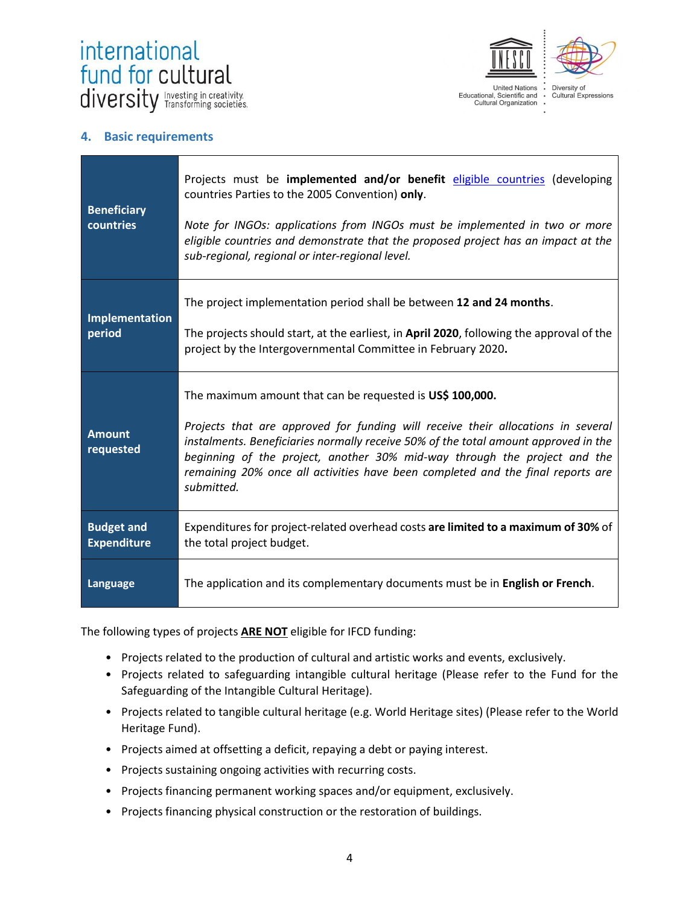



#### **4. Basic requirements**

| <b>Beneficiary</b><br>countries         | Projects must be implemented and/or benefit eligible countries (developing<br>countries Parties to the 2005 Convention) only.<br>Note for INGOs: applications from INGOs must be implemented in two or more<br>eligible countries and demonstrate that the proposed project has an impact at the<br>sub-regional, regional or inter-regional level.                                                                |
|-----------------------------------------|--------------------------------------------------------------------------------------------------------------------------------------------------------------------------------------------------------------------------------------------------------------------------------------------------------------------------------------------------------------------------------------------------------------------|
| Implementation<br>period                | The project implementation period shall be between 12 and 24 months.<br>The projects should start, at the earliest, in April 2020, following the approval of the<br>project by the Intergovernmental Committee in February 2020.                                                                                                                                                                                   |
| <b>Amount</b><br>requested              | The maximum amount that can be requested is US\$ 100,000.<br>Projects that are approved for funding will receive their allocations in several<br>instalments. Beneficiaries normally receive 50% of the total amount approved in the<br>beginning of the project, another 30% mid-way through the project and the<br>remaining 20% once all activities have been completed and the final reports are<br>submitted. |
| <b>Budget and</b><br><b>Expenditure</b> | Expenditures for project-related overhead costs are limited to a maximum of 30% of<br>the total project budget.                                                                                                                                                                                                                                                                                                    |
| Language                                | The application and its complementary documents must be in English or French.                                                                                                                                                                                                                                                                                                                                      |

The following types of projects **ARE NOT** eligible for IFCD funding:

- Projects related to the production of cultural and artistic works and events, exclusively.
- Projects related to safeguarding intangible cultural heritage (Please refer to the Fund for the Safeguarding of the Intangible Cultural Heritage).
- Projects related to tangible cultural heritage (e.g. World Heritage sites) (Please refer to the World Heritage Fund).
- Projects aimed at offsetting a deficit, repaying a debt or paying interest.
- Projects sustaining ongoing activities with recurring costs.
- Projects financing permanent working spaces and/or equipment, exclusively.
- Projects financing physical construction or the restoration of buildings.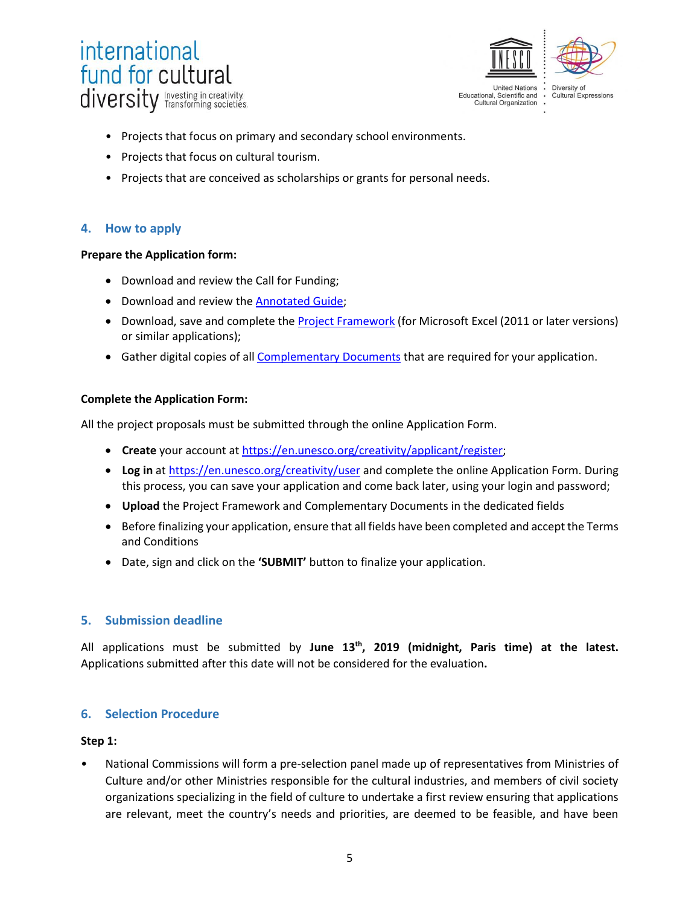



- Projects that focus on primary and secondary school environments.
- Projects that focus on cultural tourism.
- Projects that are conceived as scholarships or grants for personal needs.

#### **4. How to apply**

#### **Prepare the Application form:**

- Download and review the Call for Funding;
- Download and review the **Annotated Guide**;
- Download, save and complete th[e Project Framework](https://en.unesco.org/creativity/sites/creativity/files/project_framework_2019_en.xlsx) (for Microsoft Excel (2011 or later versions) or similar applications);
- **Gather digital copies of all [Complementary Documents](https://en.unesco.org/creativity/sites/creativity/files/list_of_complementary_documents_2.pdf) that are required for your application.**

#### **Complete the Application Form:**

All the project proposals must be submitted through the online Application Form.

- **Create** your account at [https://en.unesco.org/creativity/applicant/register;](https://en.unesco.org/creativity/applicant/register)
- **Log in** at https://en.unesco.org/creativity/user and complete the online Application Form. During this process, you can save your application and come back later, using your login and password;
- **Upload** the Project Framework and Complementary Documents in the dedicated fields
- Before finalizing your application, ensure that all fields have been completed and accept the Terms and Conditions
- Date, sign and click on the **'SUBMIT'** button to finalize your application.

#### **5. Submission deadline**

All applications must be submitted by **June 13 th, 2019 (midnight, Paris time) at the latest.** Applications submitted after this date will not be considered for the evaluation**.** 

# **6. Selection Procedure**

#### **Step 1:**

• National Commissions will form a pre-selection panel made up of representatives from Ministries of Culture and/or other Ministries responsible for the cultural industries, and members of civil society organizations specializing in the field of culture to undertake a first review ensuring that applications are relevant, meet the country's needs and priorities, are deemed to be feasible, and have been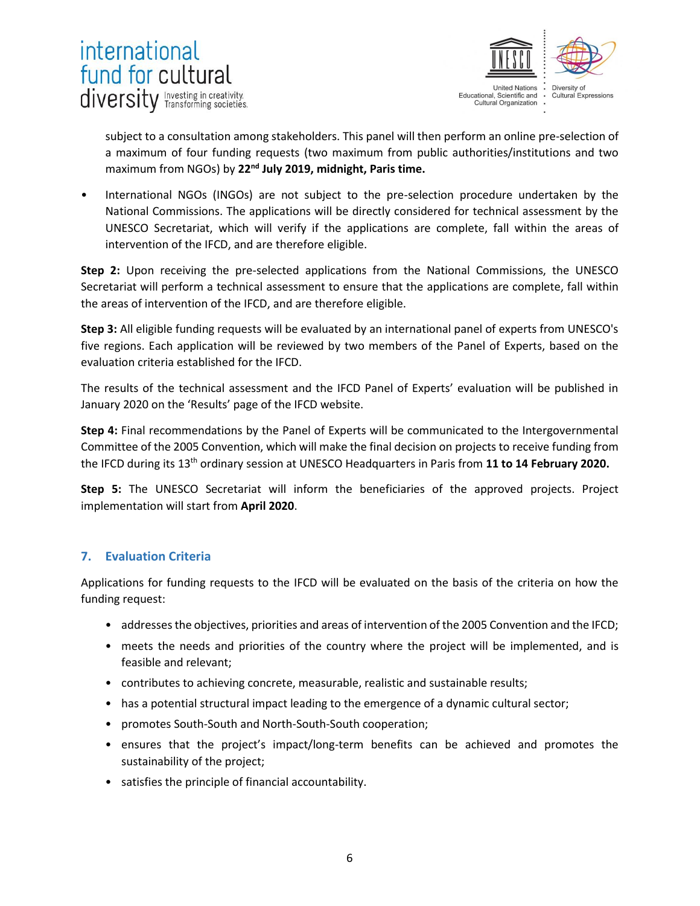



subject to a consultation among stakeholders. This panel will then perform an online pre-selection of a maximum of four funding requests (two maximum from public authorities/institutions and two maximum from NGOs) by 22<sup>nd</sup> July 2019, midnight, Paris time.

International NGOs (INGOs) are not subject to the pre-selection procedure undertaken by the National Commissions. The applications will be directly considered for technical assessment by the UNESCO Secretariat, which will verify if the applications are complete, fall within the areas of intervention of the IFCD, and are therefore eligible.

**Step 2:** Upon receiving the pre-selected applications from the National Commissions, the UNESCO Secretariat will perform a technical assessment to ensure that the applications are complete, fall within the areas of intervention of the IFCD, and are therefore eligible.

**Step 3:** All eligible funding requests will be evaluated by an international panel of experts from UNESCO's five regions. Each application will be reviewed by two members of the Panel of Experts, based on the evaluation criteria established for the IFCD.

The results of the technical assessment and the IFCD Panel of Experts' evaluation will be published in January 2020 on the 'Results' page of the IFCD website.

**Step 4:** Final recommendations by the Panel of Experts will be communicated to the Intergovernmental Committee of the 2005 Convention, which will make the final decision on projects to receive funding from the IFCD during its 13<sup>th</sup> ordinary session at UNESCO Headquarters in Paris from 11 to 14 February 2020.

**Step 5:** The UNESCO Secretariat will inform the beneficiaries of the approved projects. Project implementation will start from **April 2020**.

# **7. Evaluation Criteria**

Applications for funding requests to the IFCD will be evaluated on the basis of the criteria on how the funding request:

- addresses the objectives, priorities and areas of intervention of the 2005 Convention and the IFCD;
- meets the needs and priorities of the country where the project will be implemented, and is feasible and relevant;
- contributes to achieving concrete, measurable, realistic and sustainable results;
- has a potential structural impact leading to the emergence of a dynamic cultural sector;
- promotes South-South and North-South-South cooperation;
- ensures that the project's impact/long-term benefits can be achieved and promotes the sustainability of the project;
- satisfies the principle of financial accountability.